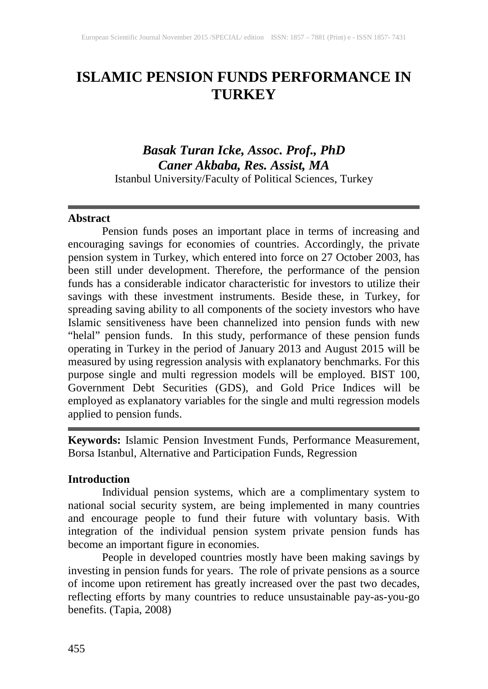# **ISLAMIC PENSION FUNDS PERFORMANCE IN TURKEY**

# *Basak Turan Icke, Assoc. Prof., PhD Caner Akbaba, Res. Assist, MA* Istanbul University/Faculty of Political Sciences, Turkey

#### **Abstract**

Pension funds poses an important place in terms of increasing and encouraging savings for economies of countries. Accordingly, the private pension system in Turkey, which entered into force on 27 October 2003, has been still under development. Therefore, the performance of the pension funds has a considerable indicator characteristic for investors to utilize their savings with these investment instruments. Beside these, in Turkey, for spreading saving ability to all components of the society investors who have Islamic sensitiveness have been channelized into pension funds with new "helal" pension funds. In this study, performance of these pension funds operating in Turkey in the period of January 2013 and August 2015 will be measured by using regression analysis with explanatory benchmarks. For this purpose single and multi regression models will be employed. BIST 100, Government Debt Securities (GDS), and Gold Price Indices will be employed as explanatory variables for the single and multi regression models applied to pension funds.

**Keywords:** Islamic Pension Investment Funds, Performance Measurement, Borsa Istanbul, Alternative and Participation Funds, Regression

## **Introduction**

Individual pension systems, which are a complimentary system to national social security system, are being implemented in many countries and encourage people to fund their future with voluntary basis. With integration of the individual pension system private pension funds has become an important figure in economies.

People in developed countries mostly have been making savings by investing in pension funds for years. The role of private pensions as a source of income upon retirement has greatly increased over the past two decades, reflecting efforts by many countries to reduce unsustainable pay-as-you-go benefits. (Tapia, 2008)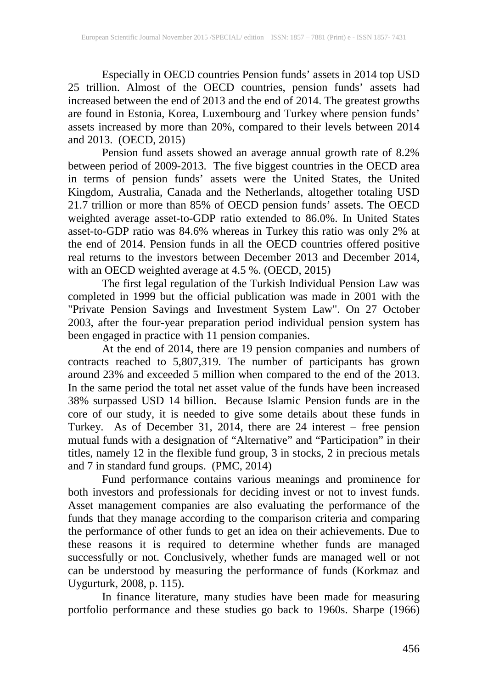Especially in OECD countries Pension funds' assets in 2014 top USD 25 trillion. Almost of the OECD countries, pension funds' assets had increased between the end of 2013 and the end of 2014. The greatest growths are found in Estonia, Korea, Luxembourg and Turkey where pension funds' assets increased by more than 20%, compared to their levels between 2014 and 2013. (OECD, 2015)

Pension fund assets showed an average annual growth rate of 8.2% between period of 2009-2013. The five biggest countries in the OECD area in terms of pension funds' assets were the United States, the United Kingdom, Australia, Canada and the Netherlands, altogether totaling USD 21.7 trillion or more than 85% of OECD pension funds' assets. The OECD weighted average asset-to-GDP ratio extended to 86.0%. In United States asset-to-GDP ratio was 84.6% whereas in Turkey this ratio was only 2% at the end of 2014. Pension funds in all the OECD countries offered positive real returns to the investors between December 2013 and December 2014, with an OECD weighted average at 4.5 %. (OECD, 2015)

The first legal regulation of the Turkish Individual Pension Law was completed in 1999 but the official publication was made in 2001 with the "Private Pension Savings and Investment System Law". On 27 October 2003, after the four-year preparation period individual pension system has been engaged in practice with 11 pension companies.

At the end of 2014, there are 19 pension companies and numbers of contracts reached to 5,807,319. The number of participants has grown around 23% and exceeded 5 million when compared to the end of the 2013. In the same period the total net asset value of the funds have been increased 38% surpassed USD 14 billion. Because Islamic Pension funds are in the core of our study, it is needed to give some details about these funds in Turkey. As of December 31, 2014, there are 24 interest – free pension mutual funds with a designation of "Alternative" and "Participation" in their titles, namely 12 in the flexible fund group, 3 in stocks, 2 in precious metals and 7 in standard fund groups. (PMC, 2014)

Fund performance contains various meanings and prominence for both investors and professionals for deciding invest or not to invest funds. Asset management companies are also evaluating the performance of the funds that they manage according to the comparison criteria and comparing the performance of other funds to get an idea on their achievements. Due to these reasons it is required to determine whether funds are managed successfully or not. Conclusively, whether funds are managed well or not can be understood by measuring the performance of funds (Korkmaz and Uygurturk, 2008, p. 115).

In finance literature, many studies have been made for measuring portfolio performance and these studies go back to 1960s. Sharpe (1966)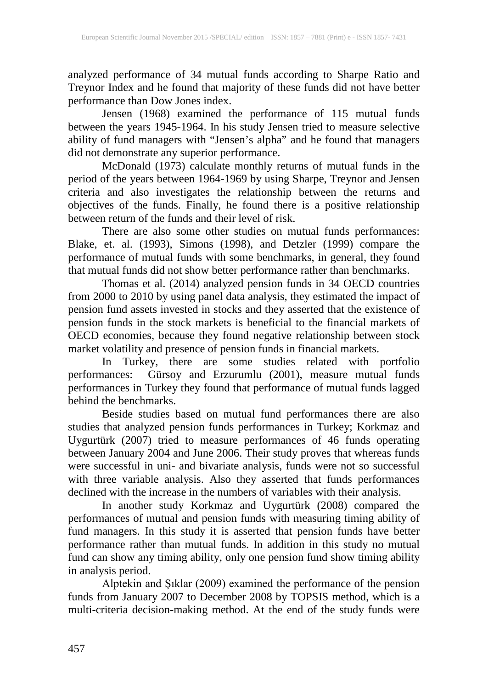analyzed performance of 34 mutual funds according to Sharpe Ratio and Treynor Index and he found that majority of these funds did not have better performance than Dow Jones index.

Jensen (1968) examined the performance of 115 mutual funds between the years 1945-1964. In his study Jensen tried to measure selective ability of fund managers with "Jensen's alpha" and he found that managers did not demonstrate any superior performance.

McDonald (1973) calculate monthly returns of mutual funds in the period of the years between 1964-1969 by using Sharpe, Treynor and Jensen criteria and also investigates the relationship between the returns and objectives of the funds. Finally, he found there is a positive relationship between return of the funds and their level of risk.

There are also some other studies on mutual funds performances: Blake, et. al. (1993), Simons (1998), and Detzler (1999) compare the performance of mutual funds with some benchmarks, in general, they found that mutual funds did not show better performance rather than benchmarks.

Thomas et al. (2014) analyzed pension funds in 34 OECD countries from 2000 to 2010 by using panel data analysis, they estimated the impact of pension fund assets invested in stocks and they asserted that the existence of pension funds in the stock markets is beneficial to the financial markets of OECD economies, because they found negative relationship between stock market volatility and presence of pension funds in financial markets.

In Turkey, there are some studies related with portfolio performances: Gürsoy and Erzurumlu (2001), measure mutual funds performances in Turkey they found that performance of mutual funds lagged behind the benchmarks.

Beside studies based on mutual fund performances there are also studies that analyzed pension funds performances in Turkey; Korkmaz and Uygurtürk (2007) tried to measure performances of 46 funds operating between January 2004 and June 2006. Their study proves that whereas funds were successful in uni- and bivariate analysis, funds were not so successful with three variable analysis. Also they asserted that funds performances declined with the increase in the numbers of variables with their analysis.

In another study Korkmaz and Uygurtürk (2008) compared the performances of mutual and pension funds with measuring timing ability of fund managers. In this study it is asserted that pension funds have better performance rather than mutual funds. In addition in this study no mutual fund can show any timing ability, only one pension fund show timing ability in analysis period.

Alptekin and Şıklar (2009) examined the performance of the pension funds from January 2007 to December 2008 by TOPSIS method, which is a multi-criteria decision-making method. At the end of the study funds were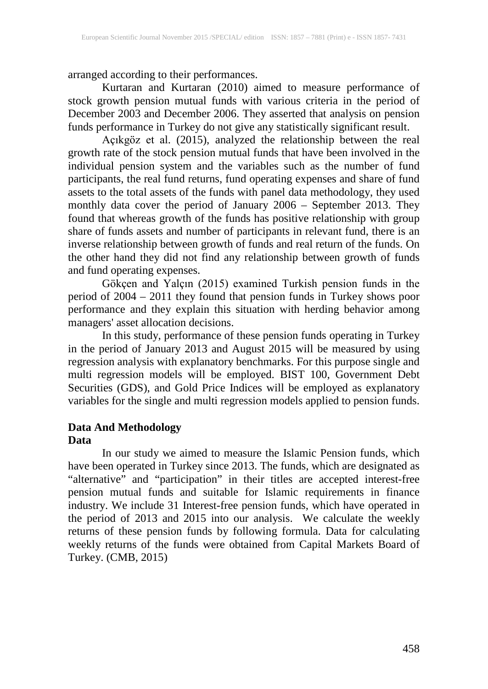arranged according to their performances.

Kurtaran and Kurtaran (2010) aimed to measure performance of stock growth pension mutual funds with various criteria in the period of December 2003 and December 2006. They asserted that analysis on pension funds performance in Turkey do not give any statistically significant result.

Açıkgöz et al. (2015), analyzed the relationship between the real growth rate of the stock pension mutual funds that have been involved in the individual pension system and the variables such as the number of fund participants, the real fund returns, fund operating expenses and share of fund assets to the total assets of the funds with panel data methodology, they used monthly data cover the period of January 2006 – September 2013. They found that whereas growth of the funds has positive relationship with group share of funds assets and number of participants in relevant fund, there is an inverse relationship between growth of funds and real return of the funds. On the other hand they did not find any relationship between growth of funds and fund operating expenses.

Gökçen and Yalçın (2015) examined Turkish pension funds in the period of 2004 – 2011 they found that pension funds in Turkey shows poor performance and they explain this situation with herding behavior among managers' asset allocation decisions.

In this study, performance of these pension funds operating in Turkey in the period of January 2013 and August 2015 will be measured by using regression analysis with explanatory benchmarks. For this purpose single and multi regression models will be employed. BIST 100, Government Debt Securities (GDS), and Gold Price Indices will be employed as explanatory variables for the single and multi regression models applied to pension funds.

# **Data And Methodology Data**

In our study we aimed to measure the Islamic Pension funds, which have been operated in Turkey since 2013. The funds, which are designated as "alternative" and "participation" in their titles are accepted interest-free pension mutual funds and suitable for Islamic requirements in finance industry. We include 31 Interest-free pension funds, which have operated in the period of 2013 and 2015 into our analysis. We calculate the weekly returns of these pension funds by following formula. Data for calculating weekly returns of the funds were obtained from Capital Markets Board of Turkey. (CMB, 2015)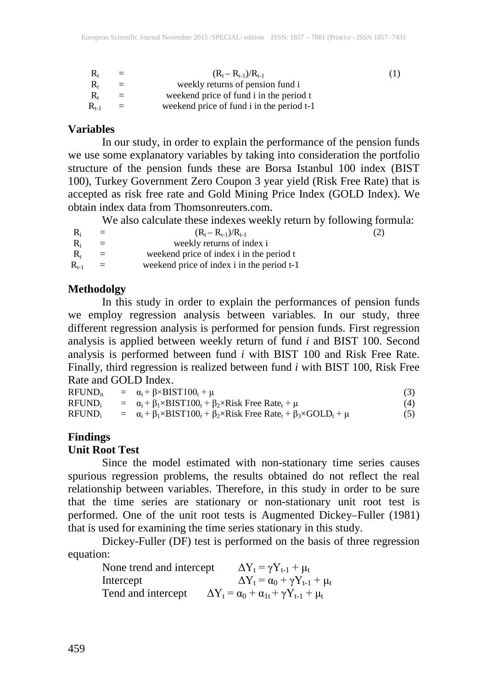| $\mathbf{R}_{i}$ | $=$ | $(R_t - R_{t-1})/R_{t-1}$                 | $\left(1\right)$ |
|------------------|-----|-------------------------------------------|------------------|
| $R_i$            | $=$ | weekly returns of pension fund i          |                  |
| R,               | $=$ | weekend price of fund i in the period t   |                  |
| $R_{t-1}$        | $=$ | weekend price of fund i in the period t-1 |                  |

#### **Variables**

In our study, in order to explain the performance of the pension funds we use some explanatory variables by taking into consideration the portfolio structure of the pension funds these are Borsa Istanbul 100 index (BIST 100), Turkey Government Zero Coupon 3 year yield (Risk Free Rate) that is accepted as risk free rate and Gold Mining Price Index (GOLD Index). We obtain index data from Thomsonreuters.com.

We also calculate these indexes weekly return by following formula:

| $R_i$         | $=$ | $(R_t - R_{t-1})/R_{t-1}$                  | (2) |
|---------------|-----|--------------------------------------------|-----|
| $R_i$         | $=$ | weekly returns of index i                  |     |
| $R_{t}$       | $=$ | weekend price of index i in the period t   |     |
| $\rm R_{t-1}$ | $=$ | weekend price of index i in the period t-1 |     |

#### **Methodolgy**

In this study in order to explain the performances of pension funds we employ regression analysis between variables. In our study, three different regression analysis is performed for pension funds. First regression analysis is applied between weekly return of fund *i* and BIST 100. Second analysis is performed between fund *i* with BIST 100 and Risk Free Rate. Finally, third regression is realized between fund *i* with BIST 100, Risk Free Rate and GOLD Index.

| $RFUND_{it}$       | $= \alpha_i + \beta \times BIST100_t + \mu$                                                                   |     |
|--------------------|---------------------------------------------------------------------------------------------------------------|-----|
| RFUND <sub>i</sub> | $a_i + \beta_1 \times BIST100_t + \beta_2 \times Risk$ Free Rate <sub>t</sub> + $\mu$                         | (4) |
| $RFUND_i$          | $a_i + \beta_1 \times BIST100_t + \beta_2 \times Risk$ Free Rate <sub>t</sub> + $\beta_3 \times GOLD_t + \mu$ | (5) |

#### **Findings**

#### **Unit Root Test**

Since the model estimated with non-stationary time series causes spurious regression problems, the results obtained do not reflect the real relationship between variables. Therefore, in this study in order to be sure that the time series are stationary or non-stationary unit root test is performed. One of the unit root tests is Augmented Dickey–Fuller (1981) that is used for examining the time series stationary in this study.

Dickey-Fuller (DF) test is performed on the basis of three regression equation:

| None trend and intercept | $\Delta Y_t = \gamma Y_{t-1} + \mu_t$                          |
|--------------------------|----------------------------------------------------------------|
| Intercept                | $\Delta Y_{t} = \alpha_0 + \gamma Y_{t-1} + \mu_t$             |
| Tend and intercept       | $\Delta Y_t = \alpha_0 + \alpha_{1t} + \gamma Y_{t-1} + \mu_t$ |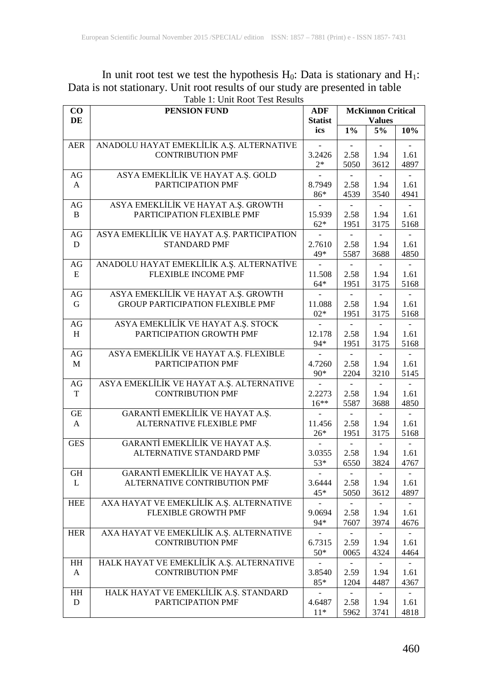#### In unit root test we test the hypothesis  $H_0$ : Data is stationary and  $H_1$ : Data is not stationary. Unit root results of our study are presented in table Table 1: Unit Root Test Results

| $\bf CO$     | PENSION FUND                                                    |                          | <b>McKinnon Critical</b> |                          |                          |
|--------------|-----------------------------------------------------------------|--------------------------|--------------------------|--------------------------|--------------------------|
| DE           |                                                                 |                          |                          | <b>Values</b>            |                          |
|              |                                                                 | ics                      | $1\%$                    | 5%                       | 10%                      |
| <b>AER</b>   | ANADOLU HAYAT EMEKLİLİK A.Ş. ALTERNATIVE                        |                          |                          |                          |                          |
|              | <b>CONTRIBUTION PMF</b>                                         | 3.2426                   | 2.58                     | 1.94                     | 1.61                     |
|              |                                                                 | $2*$                     | 5050                     | 3612                     | 4897                     |
| AG           | ASYA EMEKLİLİK VE HAYAT A.Ş. GOLD                               |                          | $\overline{\phantom{a}}$ |                          |                          |
| A            | PARTICIPATION PMF                                               | 8.7949                   | 2.58                     | 1.94                     | 1.61                     |
|              |                                                                 | 86*                      | 4539                     | 3540                     | 4941                     |
| AG           | ASYA EMEKLİLİK VE HAYAT A.Ş. GROWTH                             |                          |                          |                          |                          |
| B            | PARTICIPATION FLEXIBLE PMF                                      | 15.939                   | 2.58                     | 1.94                     | 1.61                     |
|              |                                                                 | $62*$                    | 1951                     | 3175                     | 5168                     |
| AG           | ASYA EMEKLİLİK VE HAYAT A.Ş. PARTICIPATION                      |                          |                          |                          |                          |
| D            | <b>STANDARD PMF</b>                                             | 2.7610                   | 2.58                     | 1.94                     | 1.61                     |
|              |                                                                 | 49*                      | 5587                     | 3688                     | 4850                     |
| AG           | ANADOLU HAYAT EMEKLİLİK A.Ş. ALTERNATİVE                        |                          |                          |                          |                          |
| Ε            | <b>FLEXIBLE INCOME PMF</b>                                      | 11.508                   | 2.58                     | 1.94                     | 1.61                     |
| AG           | ASYA EMEKLİLİK VE HAYAT A.Ş. GROWTH                             | $64*$                    | 1951                     | 3175                     | 5168                     |
| G            | <b>GROUP PARTICIPATION FLEXIBLE PMF</b>                         | 11.088                   | 2.58                     | 1.94                     | 1.61                     |
|              |                                                                 | $02*$                    | 1951                     | 3175                     | 5168                     |
| $\rm{AG}$    | ASYA EMEKLİLİK VE HAYAT A.Ş. STOCK                              |                          |                          |                          |                          |
| H            | PARTICIPATION GROWTH PMF                                        | 12.178                   | 2.58                     | 1.94                     | 1.61                     |
|              |                                                                 | 94*                      | 1951                     | 3175                     | 5168                     |
| AG           | ASYA EMEKLİLİK VE HAYAT A.Ş. FLEXIBLE                           | $\overline{\phantom{a}}$ | $\sim$                   | $\sim$                   | $\overline{\phantom{a}}$ |
| M            | PARTICIPATION PMF                                               | 4.7260                   | 2.58                     | 1.94                     | 1.61                     |
|              |                                                                 | 90*                      | 2204                     | 3210                     | 5145                     |
| AG           | ASYA EMEKLİLİK VE HAYAT A.Ş. ALTERNATIVE                        |                          |                          |                          |                          |
| T            | <b>CONTRIBUTION PMF</b>                                         | 2.2273                   | 2.58                     | 1.94                     | 1.61                     |
|              |                                                                 | $16**$                   | 5587                     | 3688                     | 4850                     |
| GE           | GARANTİ EMEKLİLİK VE HAYAT A.Ş.                                 |                          | $\blacksquare$           |                          |                          |
| A            | ALTERNATIVE FLEXIBLE PMF                                        | 11.456                   | 2.58                     | 1.94                     | 1.61                     |
|              |                                                                 | $26*$                    | 1951                     | 3175                     | 5168                     |
| <b>GES</b>   | GARANTİ EMEKLİLİK VE HAYAT A.Ş.                                 |                          |                          |                          |                          |
|              | ALTERNATIVE STANDARD PMF                                        | 3.0355                   | 2.58                     | 1.94                     | 1.61                     |
|              |                                                                 | 53*                      | 6550                     | 3824                     | 4767                     |
| GH<br>L      | GARANTİ EMEKLİLİK VE HAYAT A.Ş.<br>ALTERNATIVE CONTRIBUTION PMF | 3.6444                   | 2.58                     | 1.94                     | 1.61                     |
|              |                                                                 | $45*$                    | 5050                     | 3612                     | 4897                     |
| <b>HEE</b>   | AXA HAYAT VE EMEKLİLİK A.Ş. ALTERNATIVE                         |                          |                          |                          |                          |
|              | <b>FLEXIBLE GROWTH PMF</b>                                      | 9.0694                   | 2.58                     | 1.94                     | 1.61                     |
|              |                                                                 | 94*                      | 7607                     | 3974                     | 4676                     |
| HER          | AXA HAYAT VE EMEKLİLİK A.Ş. ALTERNATIVE                         | $\overline{\phantom{a}}$ | $\blacksquare$           | $\overline{\phantom{a}}$ | $ \,$                    |
|              | <b>CONTRIBUTION PMF</b>                                         | 6.7315                   | 2.59                     | 1.94                     | 1.61                     |
|              |                                                                 | $50*$                    | 0065                     | 4324                     | 4464                     |
| HH           | HALK HAYAT VE EMEKLİLİK A.Ş. ALTERNATIVE                        |                          |                          |                          |                          |
| $\mathbf{A}$ | <b>CONTRIBUTION PMF</b>                                         | 3.8540                   | 2.59                     | 1.94                     | 1.61                     |
|              |                                                                 | $85*$                    | 1204                     | 4487                     | 4367                     |
| HH           | HALK HAYAT VE EMEKLİLİK A.Ş. STANDARD                           |                          |                          |                          | $\overline{\phantom{0}}$ |
| D            | PARTICIPATION PMF                                               | 4.6487                   | 2.58                     | 1.94                     | 1.61                     |
|              |                                                                 | $11*$                    | 5962                     | 3741                     | 4818                     |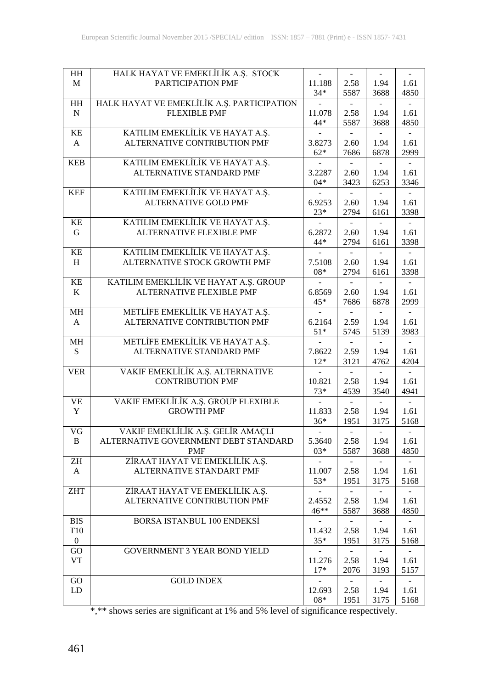| HH              | HALK HAYAT VE EMEKLİLİK A.Ş. STOCK         |                          | $\overline{\phantom{a}}$ | $\blacksquare$           |        |
|-----------------|--------------------------------------------|--------------------------|--------------------------|--------------------------|--------|
| M               | PARTICIPATION PMF                          | 11.188                   | 2.58                     | 1.94                     | 1.61   |
|                 |                                            | $34*$                    | 5587                     | 3688                     | 4850   |
| $\rm{HH}$       | HALK HAYAT VE EMEKLİLİK A.Ş. PARTICIPATION |                          |                          |                          |        |
| $\mathbf N$     | <b>FLEXIBLE PMF</b>                        | 11.078                   | 2.58                     | 1.94                     | 1.61   |
|                 |                                            |                          |                          |                          |        |
|                 |                                            | 44*                      | 5587                     | 3688                     | 4850   |
| KE              | KATILIM EMEKLİLİK VE HAYAT A.Ş.            |                          |                          |                          |        |
| A               | ALTERNATIVE CONTRIBUTION PMF               | 3.8273                   | 2.60                     | 1.94                     | 1.61   |
|                 |                                            | $62*$                    | 7686                     | 6878                     | 2999   |
| <b>KEB</b>      | KATILIM EMEKLİLİK VE HAYAT A.Ş.            |                          |                          |                          |        |
|                 |                                            |                          |                          |                          |        |
|                 | <b>ALTERNATIVE STANDARD PMF</b>            | 3.2287                   | 2.60                     | 1.94                     | 1.61   |
|                 |                                            | $04*$                    | 3423                     | 6253                     | 3346   |
| <b>KEF</b>      | KATILIM EMEKLİLİK VE HAYAT A.Ş.            |                          | $ \,$                    | $\overline{\phantom{a}}$ |        |
|                 | <b>ALTERNATIVE GOLD PMF</b>                | 6.9253                   | 2.60                     | 1.94                     | 1.61   |
|                 |                                            | $23*$                    | 2794                     | 6161                     | 3398   |
|                 |                                            |                          |                          |                          |        |
| KE              | KATILIM EMEKLİLİK VE HAYAT A.Ş.            |                          |                          |                          |        |
| G               | ALTERNATIVE FLEXIBLE PMF                   | 6.2872                   | 2.60                     | 1.94                     | 1.61   |
|                 |                                            | 44*                      | 2794                     | 6161                     | 3398   |
| KE              | KATILIM EMEKLİLİK VE HAYAT A.Ş.            |                          |                          |                          |        |
|                 | ALTERNATIVE STOCK GROWTH PMF               |                          |                          |                          |        |
| H               |                                            | 7.5108                   | 2.60                     | 1.94                     | 1.61   |
|                 |                                            | $08*$                    | 2794                     | 6161                     | 3398   |
| KE              | KATILIM EMEKLİLİK VE HAYAT A.Ş. GROUP      |                          |                          |                          |        |
| K               | ALTERNATIVE FLEXIBLE PMF                   | 6.8569                   | 2.60                     | 1.94                     | 1.61   |
|                 |                                            | 45*                      | 7686                     | 6878                     | 2999   |
|                 |                                            |                          |                          |                          |        |
| МH              | METLİFE EMEKLİLİK VE HAYAT A.Ş.            |                          |                          |                          |        |
| A               | ALTERNATIVE CONTRIBUTION PMF               | 6.2164                   | 2.59                     | 1.94                     | 1.61   |
|                 |                                            | $51*$                    | 5745                     | 5139                     | 3983   |
| MН              | METLİFE EMEKLİLİK VE HAYAT A.Ş.            |                          |                          |                          |        |
| S.              | <b>ALTERNATIVE STANDARD PMF</b>            | 7.8622                   | 2.59                     | 1.94                     | 1.61   |
|                 |                                            | $12*$                    | 3121                     | 4762                     | 4204   |
|                 |                                            |                          |                          |                          |        |
| <b>VER</b>      | VAKIF EMEKLİLİK A.Ş. ALTERNATIVE           | $\overline{\phantom{a}}$ | $\sim$                   | $\equiv$                 | $\sim$ |
|                 | <b>CONTRIBUTION PMF</b>                    | 10.821                   | 2.58                     | 1.94                     | 1.61   |
|                 |                                            | $73*$                    | 4539                     | 3540                     | 4941   |
| VE              | VAKIF EMEKLİLİK A.Ş. GROUP FLEXIBLE        |                          |                          |                          |        |
| Y               | <b>GROWTH PMF</b>                          | 11.833                   | 2.58                     | 1.94                     | 1.61   |
|                 |                                            |                          |                          |                          |        |
|                 |                                            | $36*$                    | 1951                     | 3175                     | 5168   |
| VG              | VAKIF EMEKLİLİK A.Ş. GELİR AMAÇLI          |                          | $\overline{a}$           |                          |        |
| B               | ALTERNATIVE GOVERNMENT DEBT STANDARD       | 5.3640                   | 2.58                     | 1.94                     | 1.61   |
|                 | PMF                                        | $03*$                    | 5587                     | 3688                     | 4850   |
| ZH              | ZİRAAT HAYAT VE EMEKLİLİK A.Ş.             |                          | $\sim$                   |                          |        |
|                 |                                            |                          |                          |                          |        |
| A               | <b>ALTERNATIVE STANDART PMF</b>            | 11.007                   | 2.58                     | 1.94                     | 1.61   |
|                 |                                            | 53*                      | 1951                     | 3175                     | 5168   |
| ZHT             | ZİRAAT HAYAT VE EMEKLİLİK A.Ş.             |                          |                          |                          |        |
|                 | ALTERNATIVE CONTRIBUTION PMF               | 2.4552                   | 2.58                     | 1.94                     | 1.61   |
|                 |                                            | $46**$                   | 5587                     | 3688                     | 4850   |
|                 |                                            |                          |                          |                          |        |
| <b>BIS</b>      | BORSA ISTANBUL 100 ENDEKSİ                 |                          |                          |                          |        |
| T <sub>10</sub> |                                            | 11.432                   | 2.58                     | 1.94                     | 1.61   |
| $\overline{0}$  |                                            | $35*$                    | 1951                     | 3175                     | 5168   |
| GO              | GOVERNMENT 3 YEAR BOND YIELD               |                          |                          |                          |        |
| VT              |                                            | 11.276                   | 2.58                     | 1.94                     | 1.61   |
|                 |                                            | $17*$                    |                          |                          |        |
|                 |                                            |                          | 2076                     | 3193                     | 5157   |
| GO              | <b>GOLD INDEX</b>                          |                          |                          |                          |        |
| LD              |                                            | 12.693                   | 2.58                     | 1.94                     | 1.61   |
|                 |                                            | $08*$                    | 1951                     | 3175                     | 5168   |
|                 |                                            |                          |                          |                          |        |

\*,\*\* shows series are significant at 1% and 5% level of significance respectively.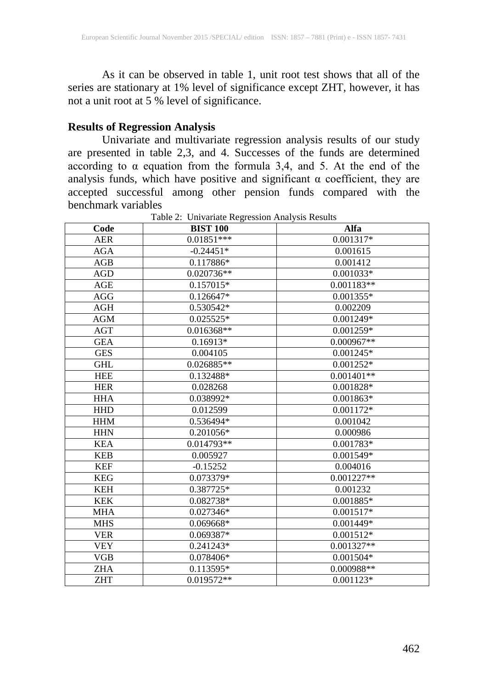As it can be observed in table 1, unit root test shows that all of the series are stationary at 1% level of significance except ZHT, however, it has not a unit root at  $5\%$  level of significance.

#### **Results of Regression Analysis**

Univariate and multivariate regression analysis results of our study are presented in table 2,3, and 4. Successes of the funds are determined according to  $\alpha$  equation from the formula 3,4, and 5. At the end of the analysis funds, which have positive and significant α coefficient, they are accepted successful among other pension funds compared with the benchmark variables

| Code       | <b>BIST 100</b> | Alfa         |
|------------|-----------------|--------------|
| <b>AER</b> | $0.01851***$    | 0.001317*    |
| <b>AGA</b> | $-0.24451*$     | 0.001615     |
| AGB        | $0.117886*$     | 0.001412     |
| <b>AGD</b> | 0.020736**      | $0.001033*$  |
| AGE        | 0.157015*       | $0.001183**$ |
| AGG        | 0.126647*       | $0.001355*$  |
| <b>AGH</b> | 0.530542*       | 0.002209     |
| <b>AGM</b> | $0.025525*$     | $0.001249*$  |
| AGT        | 0.016368**      | $0.001259*$  |
| <b>GEA</b> | $0.16913*$      | $0.000967**$ |
| <b>GES</b> | 0.004105        | $0.001245*$  |
| <b>GHL</b> | 0.026885**      | $0.001252*$  |
| <b>HEE</b> | 0.132488*       | $0.001401**$ |
| <b>HER</b> | 0.028268        | 0.001828*    |
| <b>HHA</b> | 0.038992*       | 0.001863*    |
| <b>HHD</b> | 0.012599        | $0.001172*$  |
| <b>HHM</b> | 0.536494*       | 0.001042     |
| <b>HHN</b> | $0.201056*$     | 0.000986     |
| <b>KEA</b> | 0.014793**      | 0.001783*    |
| <b>KEB</b> | 0.005927        | 0.001549*    |
| <b>KEF</b> | $-0.15252$      | 0.004016     |
| <b>KEG</b> | 0.073379*       | $0.001227**$ |
| <b>KEH</b> | 0.387725*       | 0.001232     |
| <b>KEK</b> | 0.082738*       | $0.001885*$  |
| <b>MHA</b> | 0.027346*       | $0.001517*$  |
| <b>MHS</b> | 0.069668*       | 0.001449*    |
| <b>VER</b> | $0.069387*$     | $0.001512*$  |
| <b>VEY</b> | $0.241243*$     | $0.001327**$ |
| <b>VGB</b> | 0.078406*       | $0.001504*$  |
| <b>ZHA</b> | $0.113595*$     | 0.000988**   |
| <b>ZHT</b> | 0.019572**      | $0.001123*$  |

Table 2: Univariate Regression Analysis Results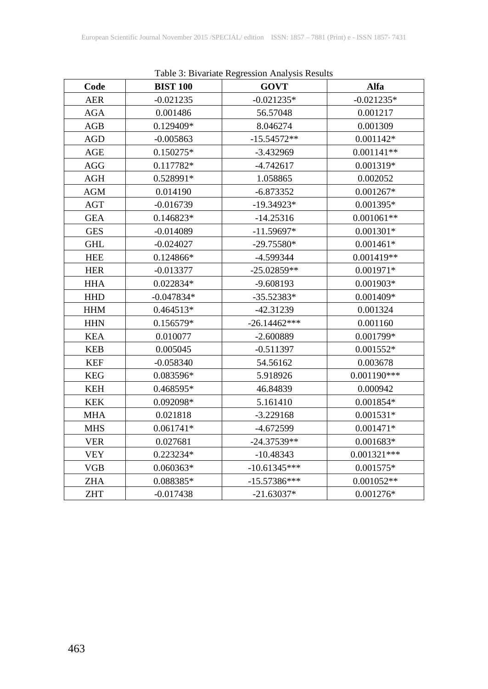| Table 5. Divariane Regression Amarysis Results |                 |                |               |  |  |  |
|------------------------------------------------|-----------------|----------------|---------------|--|--|--|
| Code                                           | <b>BIST 100</b> | <b>GOVT</b>    | Alfa          |  |  |  |
| <b>AER</b>                                     | $-0.021235$     | $-0.021235*$   | $-0.021235*$  |  |  |  |
| <b>AGA</b>                                     | 0.001486        | 56.57048       | 0.001217      |  |  |  |
| AGB                                            | 0.129409*       | 8.046274       | 0.001309      |  |  |  |
| AGD                                            | $-0.005863$     | $-15.54572**$  | $0.001142*$   |  |  |  |
| AGE                                            | 0.150275*       | $-3.432969$    | $0.001141**$  |  |  |  |
| AGG                                            | 0.117782*       | $-4.742617$    | 0.001319*     |  |  |  |
| AGH                                            | 0.528991*       | 1.058865       | 0.002052      |  |  |  |
| <b>AGM</b>                                     | 0.014190        | $-6.873352$    | $0.001267*$   |  |  |  |
| <b>AGT</b>                                     | $-0.016739$     | $-19.34923*$   | 0.001395*     |  |  |  |
| <b>GEA</b>                                     | 0.146823*       | $-14.25316$    | $0.001061**$  |  |  |  |
| <b>GES</b>                                     | $-0.014089$     | $-11.59697*$   | $0.001301*$   |  |  |  |
| <b>GHL</b>                                     | $-0.024027$     | $-29.75580*$   | $0.001461*$   |  |  |  |
| <b>HEE</b>                                     | 0.124866*       | -4.599344      | $0.001419**$  |  |  |  |
| <b>HER</b>                                     | $-0.013377$     | $-25.02859**$  | 0.001971*     |  |  |  |
| <b>HHA</b>                                     | 0.022834*       | $-9.608193$    | 0.001903*     |  |  |  |
| <b>HHD</b>                                     | $-0.047834*$    | $-35.52383*$   | 0.001409*     |  |  |  |
| <b>HHM</b>                                     | 0.464513*       | $-42.31239$    | 0.001324      |  |  |  |
| <b>HHN</b>                                     | 0.156579*       | $-26.14462***$ | 0.001160      |  |  |  |
| <b>KEA</b>                                     | 0.010077        | $-2.600889$    | 0.001799*     |  |  |  |
| <b>KEB</b>                                     | 0.005045        | $-0.511397$    | 0.001552*     |  |  |  |
| <b>KEF</b>                                     | $-0.058340$     | 54.56162       | 0.003678      |  |  |  |
| <b>KEG</b>                                     | 0.083596*       | 5.918926       | $0.001190***$ |  |  |  |
| <b>KEH</b>                                     | 0.468595*       | 46.84839       | 0.000942      |  |  |  |
| <b>KEK</b>                                     | 0.092098*       | 5.161410       | $0.001854*$   |  |  |  |
| <b>MHA</b>                                     | 0.021818        | $-3.229168$    | $0.001531*$   |  |  |  |
| <b>MHS</b>                                     | $0.061741*$     | $-4.672599$    | $0.001471*$   |  |  |  |
| <b>VER</b>                                     | 0.027681        | $-24.37539**$  | 0.001683*     |  |  |  |
| <b>VEY</b>                                     | 0.223234*       | $-10.48343$    | $0.001321***$ |  |  |  |
| VGB                                            | 0.060363*       | $-10.61345***$ | 0.001575*     |  |  |  |
| <b>ZHA</b>                                     | 0.088385*       | $-15.57386***$ | $0.001052**$  |  |  |  |
| <b>ZHT</b>                                     | $-0.017438$     | $-21.63037*$   | 0.001276*     |  |  |  |

Table 3: Bivariate Regression Analysis Results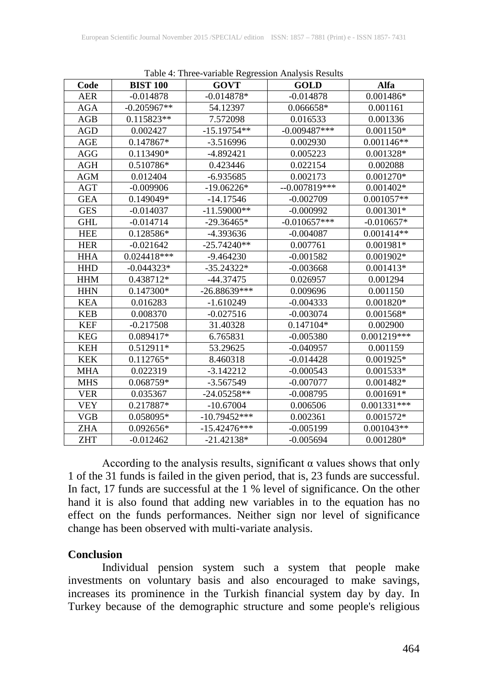| Code       | <b>BIST 100</b> | Tuote il Tince variable respersion i mar pois reservo<br><b>GOVT</b> | <b>GOLD</b>    | Alfa          |
|------------|-----------------|----------------------------------------------------------------------|----------------|---------------|
| <b>AER</b> | $-0.014878$     | $-0.014878*$                                                         | $-0.014878$    | 0.001486*     |
| AGA        | $-0.205967**$   | 54.12397                                                             | 0.066658*      | 0.001161      |
| AGB        | 0.115823**      | 7.572098                                                             | 0.016533       | 0.001336      |
| AGD        | 0.002427        | $-15.19754**$                                                        | $-0.009487***$ | 0.001150*     |
| AGE        | $0.147867*$     | $-3.516996$                                                          | 0.002930       | $0.001146**$  |
| <b>AGG</b> | 0.113490*       | $-4.892421$                                                          | 0.005223       | 0.001328*     |
| AGH        | 0.510786*       | 0.423446                                                             | 0.022154       | 0.002088      |
| <b>AGM</b> | 0.012404        | $-6.935685$                                                          | 0.002173       | 0.001270*     |
| <b>AGT</b> | $-0.009906$     | $-19.06226*$                                                         | $-0.007819***$ | $0.001402*$   |
| <b>GEA</b> | 0.149049*       | $-14.17546$                                                          | $-0.002709$    | $0.001057**$  |
| <b>GES</b> | $-0.014037$     | $-11.59000**$                                                        | $-0.000992$    | $0.001301*$   |
| <b>GHL</b> | $-0.014714$     | $-29.36465*$                                                         | $-0.010657***$ | $-0.010657*$  |
| <b>HEE</b> | 0.128586*       | -4.393636                                                            | $-0.004087$    | $0.001414**$  |
| <b>HER</b> | $-0.021642$     | $-25.74240**$                                                        | 0.007761       | $0.001981*$   |
| <b>HHA</b> | 0.024418***     | $-9.464230$                                                          | $-0.001582$    | 0.001902*     |
| <b>HHD</b> | $-0.044323*$    | $-35.24322*$                                                         | $-0.003668$    | $0.001413*$   |
| <b>HHM</b> | 0.438712*       | -44.37475                                                            | 0.026957       | 0.001294      |
| <b>HHN</b> | 0.147300*       | $-26.88639***$                                                       | 0.009696       | 0.001150      |
| <b>KEA</b> | 0.016283        | $-1.610249$                                                          | $-0.004333$    | 0.001820*     |
| <b>KEB</b> | 0.008370        | $-0.027516$                                                          | $-0.003074$    | 0.001568*     |
| <b>KEF</b> | $-0.217508$     | 31.40328                                                             | 0.147104*      | 0.002900      |
| <b>KEG</b> | 0.089417*       | 6.765831                                                             | $-0.005380$    | $0.001219***$ |
| <b>KEH</b> | 0.512911*       | 53.29625                                                             | $-0.040957$    | 0.001159      |
| <b>KEK</b> | $0.112765*$     | 8.460318                                                             | $-0.014428$    | 0.001925*     |
| MHA        | 0.022319        | $-3.142212$                                                          | $-0.000543$    | $0.001533*$   |
| <b>MHS</b> | 0.068759*       | -3.567549                                                            | $-0.007077$    | 0.001482*     |
| <b>VER</b> | 0.035367        | $-24.05258**$                                                        | $-0.008795$    | $0.001691*$   |
| <b>VEY</b> | 0.217887*       | $-10.67004$                                                          | 0.006506       | $0.001331***$ |
| <b>VGB</b> | 0.058095*       | $-10.79452***$                                                       | 0.002361       | $0.001572*$   |
| <b>ZHA</b> | $0.092656*$     | $-15.42476***$                                                       | $-0.005199$    | $0.001043**$  |
| <b>ZHT</b> | $-0.012462$     | $-21.42138*$                                                         | $-0.005694$    | 0.001280*     |

Table 4: Three-variable Regression Analysis Results

According to the analysis results, significant  $\alpha$  values shows that only 1 of the 31 funds is failed in the given period, that is, 23 funds are successful. In fact, 17 funds are successful at the 1 % level of significance. On the other hand it is also found that adding new variables in to the equation has no effect on the funds performances. Neither sign nor level of significance change has been observed with multi-variate analysis.

#### **Conclusion**

Individual pension system such a system that people make investments on voluntary basis and also encouraged to make savings, increases its prominence in the Turkish financial system day by day. In Turkey because of the demographic structure and some people's religious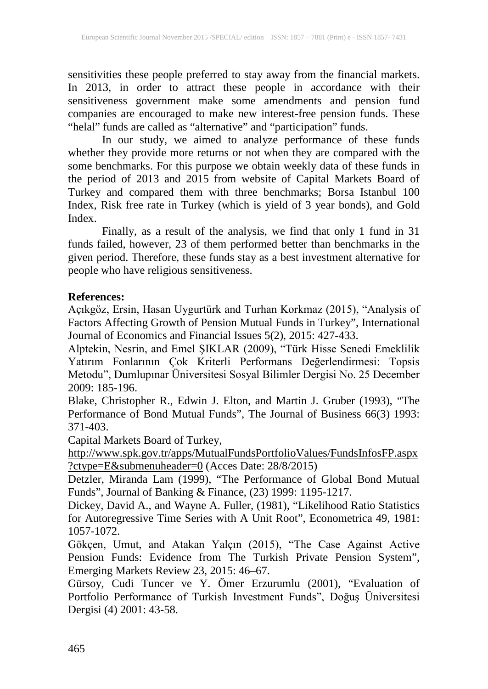sensitivities these people preferred to stay away from the financial markets. In 2013, in order to attract these people in accordance with their sensitiveness government make some amendments and pension fund companies are encouraged to make new interest-free pension funds. These "helal" funds are called as "alternative" and "participation" funds.

In our study, we aimed to analyze performance of these funds whether they provide more returns or not when they are compared with the some benchmarks. For this purpose we obtain weekly data of these funds in the period of 2013 and 2015 from website of Capital Markets Board of Turkey and compared them with three benchmarks; Borsa Istanbul 100 Index, Risk free rate in Turkey (which is yield of 3 year bonds), and Gold Index.

Finally, as a result of the analysis, we find that only 1 fund in 31 funds failed, however, 23 of them performed better than benchmarks in the given period. Therefore, these funds stay as a best investment alternative for people who have religious sensitiveness.

## **References:**

Açıkgöz, Ersin, Hasan Uygurtürk and Turhan Korkmaz (2015), "Analysis of Factors Affecting Growth of Pension Mutual Funds in Turkey", International Journal of Economics and Financial Issues 5(2), 2015: 427-433.

Alptekin, Nesrin, and Emel ŞIKLAR (2009), "Türk Hisse Senedi Emeklilik Yatırım Fonlarının Çok Kriterli Performans Değerlendirmesi: Topsis Metodu", Dumlupınar Üniversitesi Sosyal Bilimler Dergisi No. 25 December 2009: 185-196.

Blake, Christopher R., Edwin J. Elton, and Martin J. Gruber (1993), "The Performance of Bond Mutual Funds", The Journal of Business 66(3) 1993: 371-403.

Capital Markets Board of Turkey,

[http://www.spk.gov.tr/apps/MutualFundsPortfolioValues/FundsInfosFP.aspx](http://www.spk.gov.tr/apps/MutualFundsPortfolioValues/FundsInfosFP.aspx?ctype=E&submenuheader=0) [?ctype=E&submenuheader=0](http://www.spk.gov.tr/apps/MutualFundsPortfolioValues/FundsInfosFP.aspx?ctype=E&submenuheader=0) (Acces Date: 28/8/2015)

Detzler, Miranda Lam (1999), "The Performance of Global Bond Mutual Funds", Journal of Banking & Finance, (23) 1999: 1195-1217.

Dickey, David A., and Wayne A. Fuller, (1981), "Likelihood Ratio Statistics for Autoregressive Time Series with A Unit Root", Econometrica 49, 1981: 1057-1072.

Gökçen, Umut, and Atakan Yalçın (2015), "The Case Against Active Pension Funds: Evidence from The Turkish Private Pension System", Emerging Markets Review 23, 2015: 46–67.

Gürsoy, Cudi Tuncer ve Y. Ömer Erzurumlu (2001), "Evaluation of Portfolio Performance of Turkish Investment Funds", Doğuş Üniversitesi Dergisi (4) 2001: 43-58.